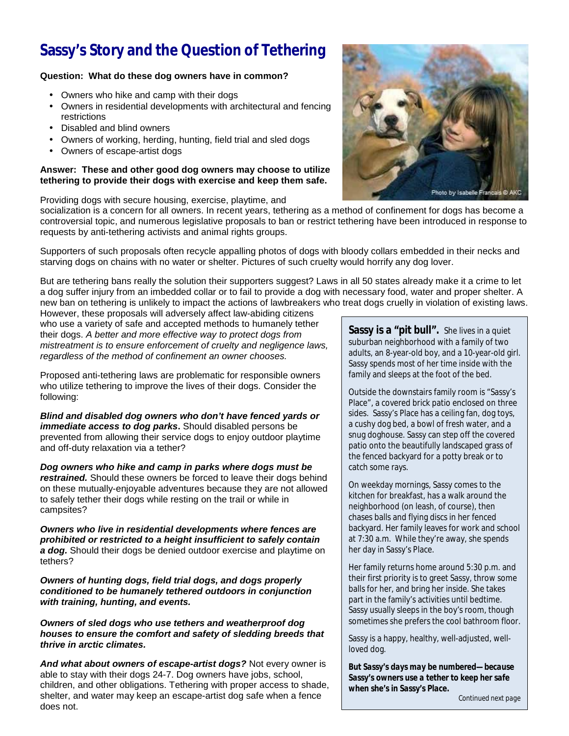# **Sassy's Story and the Question of Tethering**

# **Question: What do these dog owners have in common?**

- Owners who hike and camp with their dogs
- Owners in residential developments with architectural and fencing restrictions
- Disabled and blind owners
- Owners of working, herding, hunting, field trial and sled dogs
- Owners of escape-artist dogs

## **Answer: These and other good dog owners may choose to utilize tethering to provide their dogs with exercise and keep them safe.**

Providing dogs with secure housing, exercise, playtime, and



socialization is a concern for all owners. In recent years, tethering as a method of confinement for dogs has become a controversial topic, and numerous legislative proposals to ban or restrict tethering have been introduced in response to requests by anti-tethering activists and animal rights groups.

Supporters of such proposals often recycle appalling photos of dogs with bloody collars embedded in their necks and starving dogs on chains with no water or shelter. Pictures of such cruelty would horrify any dog lover.

But are tethering bans really the solution their supporters suggest? Laws in all 50 states already make it a crime to let a dog suffer injury from an imbedded collar or to fail to provide a dog with necessary food, water and proper shelter. A new ban on tethering is unlikely to impact the actions of lawbreakers who treat dogs cruelly in violation of existing laws.

However, these proposals will adversely affect law-abiding citizens who use a variety of safe and accepted methods to humanely tether their dogs. *A better and more effective way to protect dogs from mistreatment is to ensure enforcement of cruelty and negligence laws, regardless of the method of confinement an owner chooses.* 

Proposed anti-tethering laws are problematic for responsible owners who utilize tethering to improve the lives of their dogs. Consider the following:

*Blind and disabled dog owners who don't have fenced yards or immediate access to dog parks***.** Should disabled persons be prevented from allowing their service dogs to enjoy outdoor playtime and off-duty relaxation via a tether?

*Dog owners who hike and camp in parks where dogs must be restrained.* Should these owners be forced to leave their dogs behind on these mutually-enjoyable adventures because they are not allowed to safely tether their dogs while resting on the trail or while in campsites?

*Owners who live in residential developments where fences are prohibited or restricted to a height insufficient to safely contain a dog.* Should their dogs be denied outdoor exercise and playtime on tethers?

*Owners of hunting dogs, field trial dogs, and dogs properly conditioned to be humanely tethered outdoors in conjunction with training, hunting, and events.* 

*Owners of sled dogs who use tethers and weatherproof dog houses to ensure the comfort and safety of sledding breeds that thrive in arctic climates.*

*And what about owners of escape-artist dogs?* Not every owner is able to stay with their dogs 24-7. Dog owners have jobs, school, children, and other obligations. Tethering with proper access to shade, shelter, and water may keep an escape-artist dog safe when a fence does not.

Sassy is a "pit bull". She lives in a quiet suburban neighborhood with a family of two adults, an 8-year-old boy, and a 10-year-old girl. Sassy spends most of her time inside with the family and sleeps at the foot of the bed.

Outside the downstairs family room is "Sassy's Place", a covered brick patio enclosed on three sides. Sassy's Place has a ceiling fan, dog toys, a cushy dog bed, a bowl of fresh water, and a snug doghouse. Sassy can step off the covered patio onto the beautifully landscaped grass of the fenced backyard for a potty break or to catch some rays.

On weekday mornings, Sassy comes to the kitchen for breakfast, has a walk around the neighborhood (on leash, of course), then chases balls and flying discs in her fenced backyard. Her family leaves for work and school at 7:30 a.m. While they're away, she spends her day in Sassy's Place.

Her family returns home around 5:30 p.m. and their first priority is to greet Sassy, throw some balls for her, and bring her inside. She takes part in the family's activities until bedtime. Sassy usually sleeps in the boy's room, though sometimes she prefers the cool bathroom floor.

Sassy is a happy, healthy, well-adjusted, wellloved dog.

*But Sassy's days may be numbered—because Sassy's owners use a tether to keep her safe when she's in Sassy's Place.*